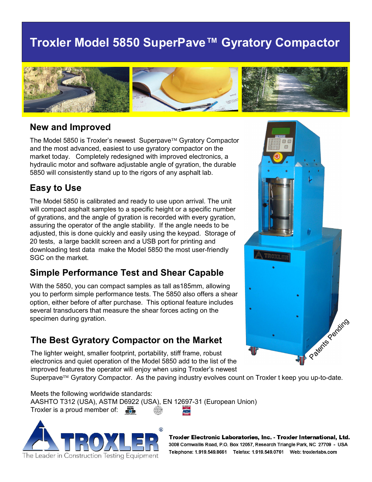## **Troxler Model 5850 SuperPave™ Gyratory Compactor**



### **New and Improved**

The Model 5850 is Troxler's newest Superpave™ Gyratory Compactor and the most advanced, easiest to use gyratory compactor on the market today. Completely redesigned with improved electronics, a hydraulic motor and software adjustable angle of gyration, the durable 5850 will consistently stand up to the rigors of any asphalt lab.

### **Easy to Use**

The Model 5850 is calibrated and ready to use upon arrival. The unit will compact asphalt samples to a specific height or a specific number of gyrations, and the angle of gyration is recorded with every gyration, assuring the operator of the angle stability. If the angle needs to be adjusted, this is done quickly and easily using the keypad. Storage of 20 tests, a large backlit screen and a USB port for printing and downloading test data make the Model 5850 the most user-friendly SGC on the market.

### **Simple Performance Test and Shear Capable**

With the 5850, you can compact samples as tall as185mm, allowing you to perform simple performance tests. The 5850 also offers a shear option, either before of after purchase. This optional feature includes several transducers that measure the shear forces acting on the specimen during gyration.

## **The Best Gyratory Compactor on the Market**

The lighter weight, smaller footprint, portability, stiff frame, robust electronics and quiet operation of the Model 5850 add to the list of the improved features the operator will enjoy when using Troxler's newest



Superpave<sup> $TM$ </sup> Gyratory Compactor. As the paving industry evolves count on Troxler t keep you up-to-date.

Meets the following worldwide standards:

AASHTO T312 (USA), ASTM D6922 (USA), EN 12697-31 (European Union) Troxler is a proud member of:  $\frac{1000}{200}$ 



Troxler Electronic Laboratories, Inc. - Troxler International, Ltd. 3008 Cornwallis Road, P.O. Box 12057, Research Triangle Park, NC 27709 - USA Telephone: 1.919.549.8661 Telefax: 1.919.549.0761 Web: troxlerlabs.com